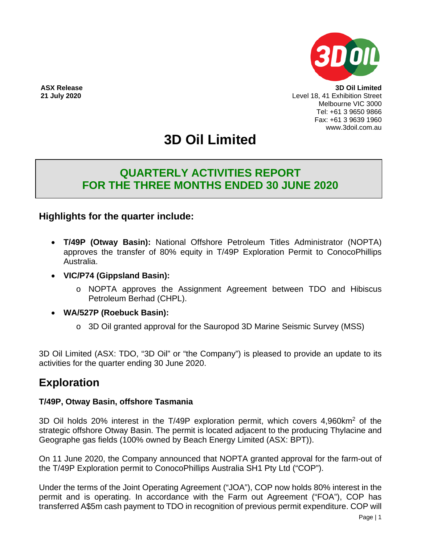

**ASX Release 3D Oil Limited 21 July 2020** Level 18, 41 Exhibition Street Melbourne VIC 3000 Tel: +61 3 9650 9866 Fax: +61 3 9639 1960 www.3doil.com.au

# **3D Oil Limited**

## **QUARTERLY ACTIVITIES REPORT FOR THE THREE MONTHS ENDED 30 JUNE 2020**

## **Highlights for the quarter include:**

- **T/49P (Otway Basin):** National Offshore Petroleum Titles Administrator (NOPTA) approves the transfer of 80% equity in T/49P Exploration Permit to ConocoPhillips Australia.
- **VIC/P74 (Gippsland Basin):** 
	- o NOPTA approves the Assignment Agreement between TDO and Hibiscus Petroleum Berhad (CHPL).
- **WA/527P (Roebuck Basin):** 
	- o 3D Oil granted approval for the Sauropod 3D Marine Seismic Survey (MSS)

3D Oil Limited (ASX: TDO, "3D Oil" or "the Company") is pleased to provide an update to its activities for the quarter ending 30 June 2020.

## **Exploration**

### **T/49P, Otway Basin, offshore Tasmania**

3D Oil holds 20% interest in the T/49P exploration permit, which covers 4,960km2 of the strategic offshore Otway Basin. The permit is located adjacent to the producing Thylacine and Geographe gas fields (100% owned by Beach Energy Limited (ASX: BPT)).

On 11 June 2020, the Company announced that NOPTA granted approval for the farm-out of the T/49P Exploration permit to ConocoPhillips Australia SH1 Pty Ltd ("COP").

Under the terms of the Joint Operating Agreement ("JOA"), COP now holds 80% interest in the permit and is operating. In accordance with the Farm out Agreement ("FOA"), COP has transferred A\$5m cash payment to TDO in recognition of previous permit expenditure. COP will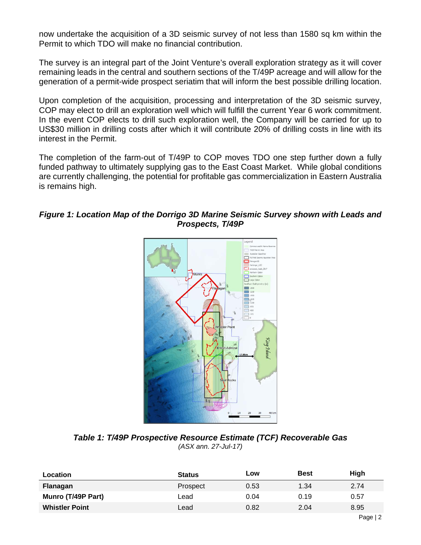now undertake the acquisition of a 3D seismic survey of not less than 1580 sq km within the Permit to which TDO will make no financial contribution.

The survey is an integral part of the Joint Venture's overall exploration strategy as it will cover remaining leads in the central and southern sections of the T/49P acreage and will allow for the generation of a permit-wide prospect seriatim that will inform the best possible drilling location.

Upon completion of the acquisition, processing and interpretation of the 3D seismic survey, COP may elect to drill an exploration well which will fulfill the current Year 6 work commitment. In the event COP elects to drill such exploration well, the Company will be carried for up to US\$30 million in drilling costs after which it will contribute 20% of drilling costs in line with its interest in the Permit.

The completion of the farm-out of T/49P to COP moves TDO one step further down a fully funded pathway to ultimately supplying gas to the East Coast Market. While global conditions are currently challenging, the potential for profitable gas commercialization in Eastern Australia is remains high.

#### *Figure 1: Location Map of the Dorrigo 3D Marine Seismic Survey shown with Leads and Prospects, T/49P*



*Table 1: T/49P Prospective Resource Estimate (TCF) Recoverable Gas (ASX ann. 27-Jul-17)*

| <b>Location</b>       | <b>Status</b>   | Low  | <b>Best</b> | High |
|-----------------------|-----------------|------|-------------|------|
| Flanagan              | <b>Prospect</b> | 0.53 | 1.34        | 2.74 |
| Munro (T/49P Part)    | Lead            | 0.04 | 0.19        | 0.57 |
| <b>Whistler Point</b> | Lead            | 0.82 | 2.04        | 8.95 |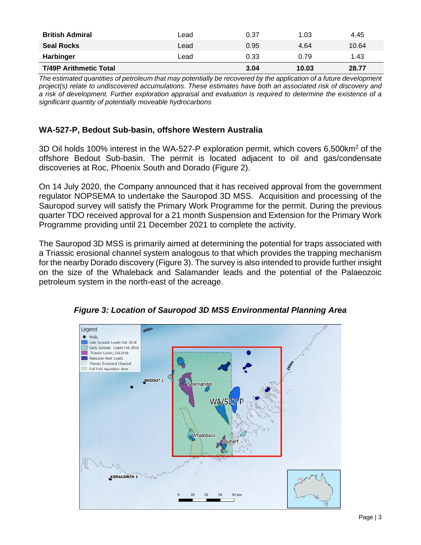| <b>British Admiral</b>        | Lead | 0.37 | 1.03  | 4.45  |
|-------------------------------|------|------|-------|-------|
| <b>Seal Rocks</b>             | Lead | 0.95 | 4.64  | 10.64 |
| Harbinger                     | Lead | 0.33 | 0.79  | 1.43  |
| <b>T/49P Arithmetic Total</b> |      | 3.04 | 10.03 | 28.77 |

*The estimated quantities of petroleum that may potentially be recovered by the application of a future development project(s) relate to undiscovered accumulations. These estimates have both an associated risk of discovery and a risk of development. Further exploration appraisal and evaluation is required to determine the existence of a significant quantity of potentially moveable hydrocarbons*

#### **WA-527-P, Bedout Sub-basin, offshore Western Australia**

3D Oil holds 100% interest in the WA-527-P exploration permit, which covers 6,500km2 of the offshore Bedout Sub-basin. The permit is located adjacent to oil and gas/condensate discoveries at Roc, Phoenix South and Dorado (Figure 2).

On 14 July 2020, the Company announced that it has received approval from the government regulator NOPSEMA to undertake the Sauropod 3D MSS. Acquisition and processing of the Sauropod survey will satisfy the Primary Work Programme for the permit. During the previous quarter TDO received approval for a 21 month Suspension and Extension for the Primary Work Programme providing until 21 December 2021 to complete the activity.

The Sauropod 3D MSS is primarily aimed at determining the potential for traps associated with a Triassic erosional channel system analogous to that which provides the trapping mechanism for the nearby Dorado discovery (Figure 3). The survey is also intended to provide further insight on the size of the Whaleback and Salamander leads and the potential of the Palaeozoic petroleum system in the north-east of the acreage.



*Figure 3: Location of Sauropod 3D MSS Environmental Planning Area*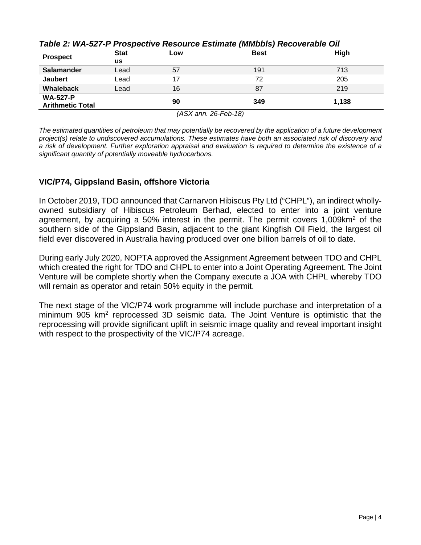| <b>Prospect</b>                            | <b>Stat</b><br><b>us</b> | LOW | $   \bullet$<br><b>Best</b> | High  |
|--------------------------------------------|--------------------------|-----|-----------------------------|-------|
| <b>Salamander</b>                          | Lead                     | 57  | 191                         | 713   |
| <b>Jaubert</b>                             | Lead                     | 17  | 72                          | 205   |
| Whaleback                                  | Lead                     | 16  | 87                          | 219   |
| <b>WA-527-P</b><br><b>Arithmetic Total</b> |                          | 90  | 349                         | 1,138 |

### *Table 2: WA-527-P Prospective Resource Estimate (MMbbls) Recoverable Oil*

*(ASX ann. 26-Feb-18)*

*The estimated quantities of petroleum that may potentially be recovered by the application of a future development project(s) relate to undiscovered accumulations. These estimates have both an associated risk of discovery and a risk of development. Further exploration appraisal and evaluation is required to determine the existence of a significant quantity of potentially moveable hydrocarbons.*

### **VIC/P74, Gippsland Basin, offshore Victoria**

In October 2019, TDO announced that Carnarvon Hibiscus Pty Ltd ("CHPL"), an indirect whollyowned subsidiary of Hibiscus Petroleum Berhad, elected to enter into a joint venture agreement, by acquiring a 50% interest in the permit. The permit covers 1,009 km<sup>2</sup> of the southern side of the Gippsland Basin, adjacent to the giant Kingfish Oil Field, the largest oil field ever discovered in Australia having produced over one billion barrels of oil to date.

During early July 2020, NOPTA approved the Assignment Agreement between TDO and CHPL which created the right for TDO and CHPL to enter into a Joint Operating Agreement. The Joint Venture will be complete shortly when the Company execute a JOA with CHPL whereby TDO will remain as operator and retain 50% equity in the permit.

The next stage of the VIC/P74 work programme will include purchase and interpretation of a minimum 905 km<sup>2</sup> reprocessed 3D seismic data. The Joint Venture is optimistic that the reprocessing will provide significant uplift in seismic image quality and reveal important insight with respect to the prospectivity of the VIC/P74 acreage.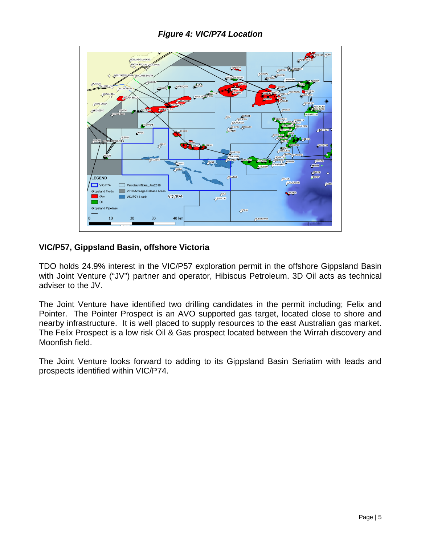

#### **VIC/P57, Gippsland Basin, offshore Victoria**

TDO holds 24.9% interest in the VIC/P57 exploration permit in the offshore Gippsland Basin with Joint Venture ("JV") partner and operator, Hibiscus Petroleum. 3D Oil acts as technical adviser to the JV.

The Joint Venture have identified two drilling candidates in the permit including; Felix and Pointer. The Pointer Prospect is an AVO supported gas target, located close to shore and nearby infrastructure. It is well placed to supply resources to the east Australian gas market. The Felix Prospect is a low risk Oil & Gas prospect located between the Wirrah discovery and Moonfish field.

The Joint Venture looks forward to adding to its Gippsland Basin Seriatim with leads and prospects identified within VIC/P74.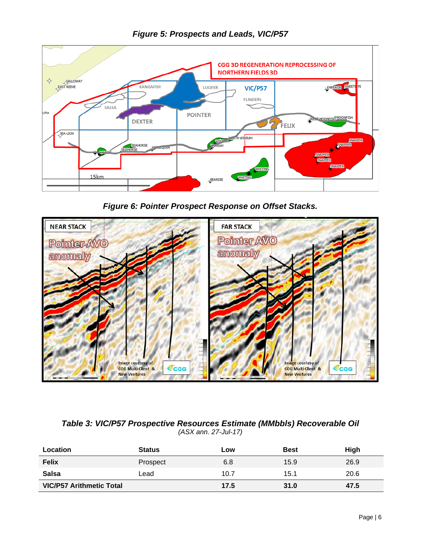

*Figure 5: Prospects and Leads, VIC/P57*

*Figure 6: Pointer Prospect Response on Offset Stacks.*



### *Table 3: VIC/P57 Prospective Resources Estimate (MMbbls) Recoverable Oil (ASX ann. 27-Jul-17)*

| Location                        | <b>Status</b> | Low  | <b>Best</b> | High |
|---------------------------------|---------------|------|-------------|------|
| <b>Felix</b>                    | Prospect      | 6.8  | 15.9        | 26.9 |
| <b>Salsa</b>                    | Lead          | 10.7 | 15.1        | 20.6 |
| <b>VIC/P57 Arithmetic Total</b> |               | 17.5 | 31.0        | 47.5 |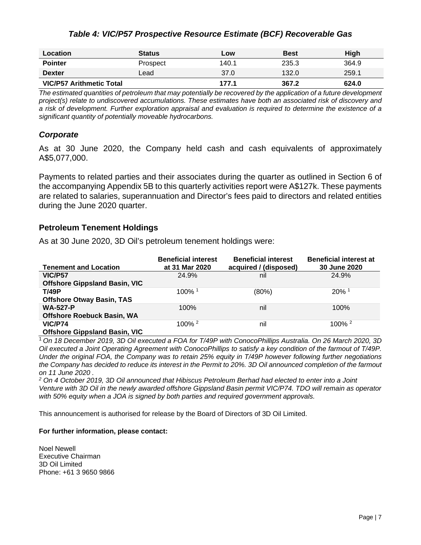#### *Table 4: VIC/P57 Prospective Resource Estimate (BCF) Recoverable Gas*

| Location                        | <b>Status</b> | Low   | <b>Best</b> | High  |
|---------------------------------|---------------|-------|-------------|-------|
| <b>Pointer</b>                  | Prospect      | 140.1 | 235.3       | 364.9 |
| <b>Dexter</b>                   | Lead          | 37.0  | 132.0       | 259.1 |
| <b>VIC/P57 Arithmetic Total</b> |               | 177.1 | 367.2       | 624.0 |

*The estimated quantities of petroleum that may potentially be recovered by the application of a future development project(s) relate to undiscovered accumulations. These estimates have both an associated risk of discovery and a risk of development. Further exploration appraisal and evaluation is required to determine the existence of a significant quantity of potentially moveable hydrocarbons.*

#### *Corporate*

As at 30 June 2020, the Company held cash and cash equivalents of approximately A\$5,077,000.

Payments to related parties and their associates during the quarter as outlined in Section 6 of the accompanying Appendix 5B to this quarterly activities report were A\$127k. These payments are related to salaries, superannuation and Director's fees paid to directors and related entities during the June 2020 quarter.

#### **Petroleum Tenement Holdings**

As at 30 June 2020, 3D Oil's petroleum tenement holdings were:

| <b>Tenement and Location</b>         | <b>Beneficial interest</b><br>at 31 Mar 2020 | <b>Beneficial interest</b><br>acquired / (disposed) | <b>Beneficial interest at</b><br>30 June 2020 |
|--------------------------------------|----------------------------------------------|-----------------------------------------------------|-----------------------------------------------|
| VIC/P57                              | 24.9%                                        | nil                                                 | 24.9%                                         |
| <b>Offshore Gippsland Basin, VIC</b> |                                              |                                                     |                                               |
| <b>T/49P</b>                         | 100% 1                                       | $(80\%)$                                            | $20\%$ <sup>1</sup>                           |
| <b>Offshore Otway Basin, TAS</b>     |                                              |                                                     |                                               |
| <b>WA-527-P</b>                      | 100%                                         | nil                                                 | 100%                                          |
| <b>Offshore Roebuck Basin, WA</b>    |                                              |                                                     |                                               |
| <b>VIC/P74</b>                       | $100\%$ <sup>2</sup>                         | nil                                                 | $100\%$ <sup>2</sup>                          |
| <b>Offshore Gippsland Basin, VIC</b> |                                              |                                                     |                                               |

<sup>1</sup>*On 18 December 2019, 3D Oil executed a FOA for T/49P with ConocoPhillips Australia. On 26 March 2020, 3D Oil executed a Joint Operating Agreement with ConocoPhillips to satisfy a key condition of the farmout of T/49P. Under the original FOA, the Company was to retain 25% equity in T/49P however following further negotiations the Company has decided to reduce its interest in the Permit to 20%. 3D Oil announced completion of the farmout on 11 June 2020 .*

*<sup>2</sup> On 4 October 2019, 3D Oil announced that Hibiscus Petroleum Berhad had elected to enter into a Joint Venture with 3D Oil in the newly awarded offshore Gippsland Basin permit VIC/P74. TDO will remain as operator with 50% equity when a JOA is signed by both parties and required government approvals.*

This announcement is authorised for release by the Board of Directors of 3D Oil Limited.

#### **For further information, please contact:**

Noel Newell Executive Chairman 3D Oil Limited Phone: +61 3 9650 9866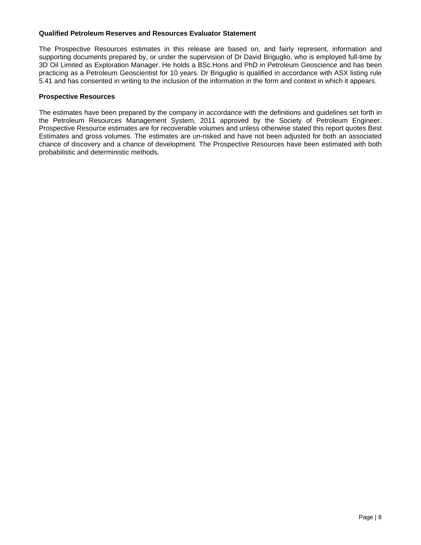#### **Qualified Petroleum Reserves and Resources Evaluator Statement**

The Prospective Resources estimates in this release are based on, and fairly represent, information and supporting documents prepared by, or under the supervision of Dr David Briguglio, who is employed full-time by 3D Oil Limited as Exploration Manager. He holds a BSc.Hons and PhD in Petroleum Geoscience and has been practicing as a Petroleum Geoscientist for 10 years. Dr Briguglio is qualified in accordance with ASX listing rule 5.41 and has consented in writing to the inclusion of the information in the form and context in which it appears.

#### **Prospective Resources**

The estimates have been prepared by the company in accordance with the definitions and guidelines set forth in the Petroleum Resources Management System, 2011 approved by the Society of Petroleum Engineer. Prospective Resource estimates are for recoverable volumes and unless otherwise stated this report quotes Best Estimates and gross volumes. The estimates are un-risked and have not been adjusted for both an associated chance of discovery and a chance of development. The Prospective Resources have been estimated with both probabilistic and deterministic methods.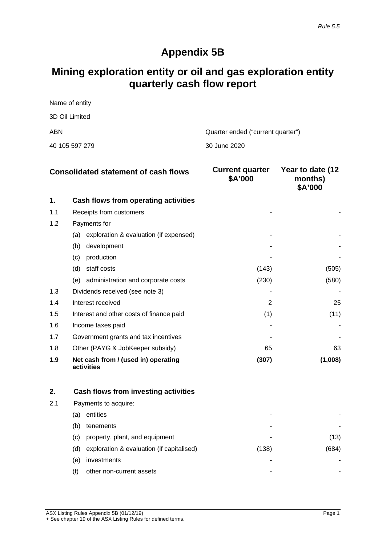## **Appendix 5B**

## **Mining exploration entity or oil and gas exploration entity quarterly cash flow report**

| Name of entity |                                   |
|----------------|-----------------------------------|
| 3D Oil Limited |                                   |
| ABN            | Quarter ended ("current quarter") |
| 40 105 597 279 | 30 June 2020                      |

|     | <b>Consolidated statement of cash flows</b>       | <b>Current quarter</b><br>\$A'000 | Year to date (12<br>months)<br>\$A'000 |
|-----|---------------------------------------------------|-----------------------------------|----------------------------------------|
| 1.  | Cash flows from operating activities              |                                   |                                        |
| 1.1 | Receipts from customers                           |                                   |                                        |
| 1.2 | Payments for                                      |                                   |                                        |
|     | exploration & evaluation (if expensed)<br>(a)     |                                   |                                        |
|     | (b)<br>development                                |                                   |                                        |
|     | production<br>(c)                                 |                                   |                                        |
|     | (d)<br>staff costs                                | (143)                             | (505)                                  |
|     | administration and corporate costs<br>(e)         | (230)                             | (580)                                  |
| 1.3 | Dividends received (see note 3)                   |                                   |                                        |
| 1.4 | Interest received                                 | $\overline{2}$                    | 25                                     |
| 1.5 | Interest and other costs of finance paid          | (1)                               | (11)                                   |
| 1.6 | Income taxes paid                                 |                                   |                                        |
| 1.7 | Government grants and tax incentives              |                                   |                                        |
| 1.8 | Other (PAYG & JobKeeper subsidy)                  | 65                                | 63                                     |
| 1.9 | Net cash from / (used in) operating<br>activities | (307)                             | (1,008)                                |

|     |     | Cash flows from investing activities      |       |     |
|-----|-----|-------------------------------------------|-------|-----|
| 2.1 |     | Payments to acquire:                      |       |     |
|     | (a) | entities                                  | -     |     |
|     | (b) | tenements                                 |       |     |
|     | (C) | property, plant, and equipment            | -     | 13) |
|     | (d) | exploration & evaluation (if capitalised) | (138) |     |
|     | (e) | investments                               |       |     |
|     |     | other non-current assets                  | -     |     |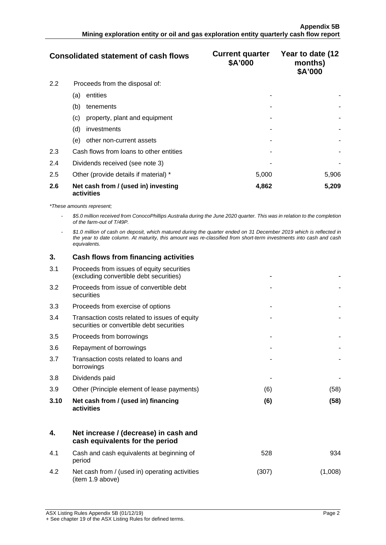|     | <b>Consolidated statement of cash flows</b>       | <b>Current quarter</b><br>\$A'000 | Year to date (12<br>months)<br>\$A'000 |
|-----|---------------------------------------------------|-----------------------------------|----------------------------------------|
| 2.2 | Proceeds from the disposal of:                    |                                   |                                        |
|     | entities<br>(a)                                   |                                   |                                        |
|     | (b)<br>tenements                                  |                                   |                                        |
|     | property, plant and equipment<br>(c)              |                                   |                                        |
|     | (d)<br>investments                                |                                   |                                        |
|     | other non-current assets<br>(e)                   |                                   |                                        |
| 2.3 | Cash flows from loans to other entities           |                                   |                                        |
| 2.4 | Dividends received (see note 3)                   |                                   |                                        |
| 2.5 | Other (provide details if material) *             | 5,000                             | 5,906                                  |
| 2.6 | Net cash from / (used in) investing<br>activities | 4,862                             | 5,209                                  |

*\*These amounts represent;*

- *\$5.0 million received from ConocoPhillips Australia during the June 2020 quarter. This was in relation to the completion of the farm-out of T/49P.*

- *\$1.0 million of cash on deposit, which matured during the quarter ended on 31 December 2019 which is reflected in the year to date column. At maturity, this amount was re-classified from short-term investments into cash and cash equivalents.*

| 3.   | Cash flows from financing activities                                                       |     |      |
|------|--------------------------------------------------------------------------------------------|-----|------|
| 3.1  | Proceeds from issues of equity securities<br>(excluding convertible debt securities)       |     |      |
| 3.2  | Proceeds from issue of convertible debt<br>securities                                      |     |      |
| 3.3  | Proceeds from exercise of options                                                          |     |      |
| 3.4  | Transaction costs related to issues of equity<br>securities or convertible debt securities |     |      |
| 3.5  | Proceeds from borrowings                                                                   |     |      |
| 3.6  | Repayment of borrowings                                                                    |     |      |
| 3.7  | Transaction costs related to loans and<br>borrowings                                       |     |      |
| 3.8  | Dividends paid                                                                             |     |      |
| 3.9  | Other (Principle element of lease payments)                                                | (6) | (58) |
| 3.10 | Net cash from / (used in) financing<br>activities                                          | (6) | (58) |

|     | Net increase / (decrease) in cash and<br>cash equivalents for the period |      |  |
|-----|--------------------------------------------------------------------------|------|--|
| 4.1 | Cash and cash equivalents at beginning of<br>period                      | 528  |  |
| 42  | Net cash from / (used in) operating activities<br>(item 1.9 above)       | (307 |  |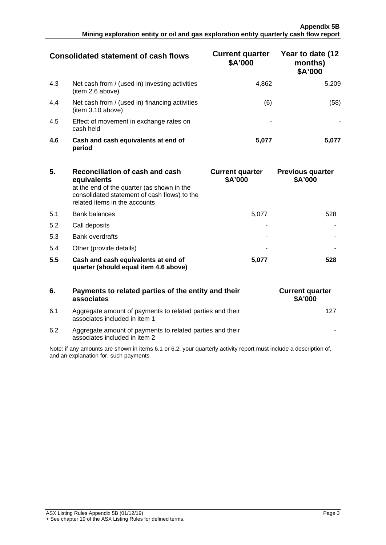|     | Consolidated statement of cash flows                                | <b>Current quarter</b><br>\$A'000 | Year to date (12<br>months)<br>\$A'000 |
|-----|---------------------------------------------------------------------|-----------------------------------|----------------------------------------|
| 4.3 | Net cash from / (used in) investing activities<br>(item 2.6 above)  | 4.862                             | 5.209                                  |
| 4.4 | Net cash from / (used in) financing activities<br>(item 3.10 above) | (6)                               | '58'                                   |
| 4.5 | Effect of movement in exchange rates on<br>cash held                |                                   |                                        |
| 4.6 | Cash and cash equivalents at end of<br>period                       | 5.077                             |                                        |

| 5.  | Reconciliation of cash and cash<br>equivalents<br>at the end of the quarter (as shown in the<br>consolidated statement of cash flows) to the<br>related items in the accounts | <b>Current quarter</b><br>\$A'000 | <b>Previous quarter</b><br>\$A'000 |
|-----|-------------------------------------------------------------------------------------------------------------------------------------------------------------------------------|-----------------------------------|------------------------------------|
| 5.1 | <b>Bank balances</b>                                                                                                                                                          | 5.077                             | 528                                |
| 5.2 | Call deposits                                                                                                                                                                 |                                   |                                    |
| 5.3 | <b>Bank overdrafts</b>                                                                                                                                                        |                                   |                                    |
| 5.4 | Other (provide details)                                                                                                                                                       |                                   |                                    |
| 5.5 | Cash and cash equivalents at end of<br>quarter (should equal item 4.6 above)                                                                                                  | 5.077                             | 528                                |

| 6.  | Payments to related parties of the entity and their<br>associates                          |  |
|-----|--------------------------------------------------------------------------------------------|--|
| 6.1 | Aggregate amount of payments to related parties and their<br>associates included in item 1 |  |

| <b>Current quarter</b><br>\$A'000 |
|-----------------------------------|
| 127                               |
|                                   |

6.2 Aggregate amount of payments to related parties and their associates included in item 2

Note: if any amounts are shown in items 6.1 or 6.2, your quarterly activity report must include a description of, and an explanation for, such payments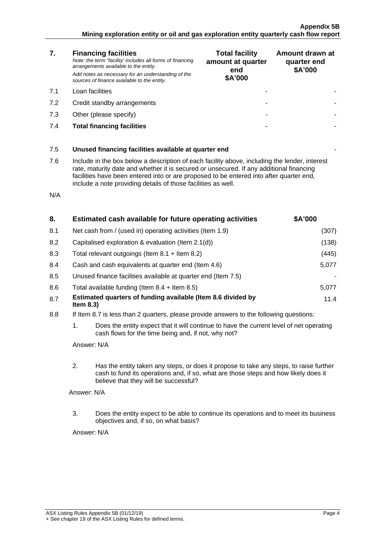#### **Appendix 5B Mining exploration entity or oil and gas exploration entity quarterly cash flow report**

| 7.  | <b>Financing facilities</b><br>Note: the term "facility' includes all forms of financing<br>arrangements available to the entity.<br>Add notes as necessary for an understanding of the<br>sources of finance available to the entity.                                                                                                               | <b>Total facility</b><br>amount at quarter<br>end<br>\$A'000 | Amount drawn at<br>quarter end<br>\$A'000 |
|-----|------------------------------------------------------------------------------------------------------------------------------------------------------------------------------------------------------------------------------------------------------------------------------------------------------------------------------------------------------|--------------------------------------------------------------|-------------------------------------------|
| 7.1 | Loan facilities                                                                                                                                                                                                                                                                                                                                      |                                                              |                                           |
| 7.2 | Credit standby arrangements                                                                                                                                                                                                                                                                                                                          |                                                              |                                           |
| 7.3 | Other (please specify)                                                                                                                                                                                                                                                                                                                               |                                                              |                                           |
| 7.4 | <b>Total financing facilities</b>                                                                                                                                                                                                                                                                                                                    |                                                              |                                           |
|     |                                                                                                                                                                                                                                                                                                                                                      |                                                              |                                           |
| 7.5 | Unused financing facilities available at quarter end                                                                                                                                                                                                                                                                                                 |                                                              |                                           |
| 7.6 | Include in the box below a description of each facility above, including the lender, interest<br>rate, maturity date and whether it is secured or unsecured. If any additional financing<br>facilities have been entered into or are proposed to be entered into after quarter end,<br>include a note providing details of those facilities as well. |                                                              |                                           |
| N/A |                                                                                                                                                                                                                                                                                                                                                      |                                                              |                                           |

| 8.  | Estimated cash available for future operating activities                   | \$A'000 |
|-----|----------------------------------------------------------------------------|---------|
| 8.1 | Net cash from / (used in) operating activities (Item 1.9)                  | (307)   |
| 8.2 | Capitalised exploration & evaluation (Item 2.1(d))                         | (138)   |
| 8.3 | Total relevant outgoings (Item $8.1$ + Item $8.2$ )                        | (445)   |
| 8.4 | Cash and cash equivalents at quarter end (Item 4.6)                        | 5.077   |
| 8.5 | Unused finance facilities available at quarter end (Item 7.5)              |         |
| 8.6 | Total available funding (Item $8.4$ + Item $8.5$ )                         | 5.077   |
| 8.7 | Estimated quarters of funding available (Item 8.6 divided by<br>Item $8.3$ | 11.4    |

- 8.8 If Item 8.7 is less than 2 quarters, please provide answers to the following questions:
	- 1. Does the entity expect that it will continue to have the current level of net operating cash flows for the time being and, if not, why not?

Answer: N/A

2. Has the entity taken any steps, or does it propose to take any steps, to raise further cash to fund its operations and, if so, what are those steps and how likely does it believe that they will be successful?

Answer: N/A

3. Does the entity expect to be able to continue its operations and to meet its business objectives and, if so, on what basis?

Answer: N/A